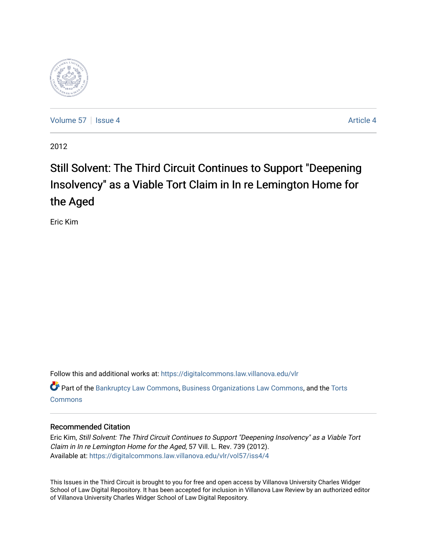

[Volume 57](https://digitalcommons.law.villanova.edu/vlr/vol57) | [Issue 4](https://digitalcommons.law.villanova.edu/vlr/vol57/iss4) Article 4

2012

# Still Solvent: The Third Circuit Continues to Support "Deepening Insolvency" as a Viable Tort Claim in In re Lemington Home for the Aged

Eric Kim

Follow this and additional works at: [https://digitalcommons.law.villanova.edu/vlr](https://digitalcommons.law.villanova.edu/vlr?utm_source=digitalcommons.law.villanova.edu%2Fvlr%2Fvol57%2Fiss4%2F4&utm_medium=PDF&utm_campaign=PDFCoverPages)

Part of the [Bankruptcy Law Commons,](http://network.bepress.com/hgg/discipline/583?utm_source=digitalcommons.law.villanova.edu%2Fvlr%2Fvol57%2Fiss4%2F4&utm_medium=PDF&utm_campaign=PDFCoverPages) [Business Organizations Law Commons](http://network.bepress.com/hgg/discipline/900?utm_source=digitalcommons.law.villanova.edu%2Fvlr%2Fvol57%2Fiss4%2F4&utm_medium=PDF&utm_campaign=PDFCoverPages), and the [Torts](http://network.bepress.com/hgg/discipline/913?utm_source=digitalcommons.law.villanova.edu%2Fvlr%2Fvol57%2Fiss4%2F4&utm_medium=PDF&utm_campaign=PDFCoverPages) [Commons](http://network.bepress.com/hgg/discipline/913?utm_source=digitalcommons.law.villanova.edu%2Fvlr%2Fvol57%2Fiss4%2F4&utm_medium=PDF&utm_campaign=PDFCoverPages)

# Recommended Citation

Eric Kim, Still Solvent: The Third Circuit Continues to Support "Deepening Insolvency" as a Viable Tort Claim in In re Lemington Home for the Aged, 57 Vill. L. Rev. 739 (2012). Available at: [https://digitalcommons.law.villanova.edu/vlr/vol57/iss4/4](https://digitalcommons.law.villanova.edu/vlr/vol57/iss4/4?utm_source=digitalcommons.law.villanova.edu%2Fvlr%2Fvol57%2Fiss4%2F4&utm_medium=PDF&utm_campaign=PDFCoverPages) 

This Issues in the Third Circuit is brought to you for free and open access by Villanova University Charles Widger School of Law Digital Repository. It has been accepted for inclusion in Villanova Law Review by an authorized editor of Villanova University Charles Widger School of Law Digital Repository.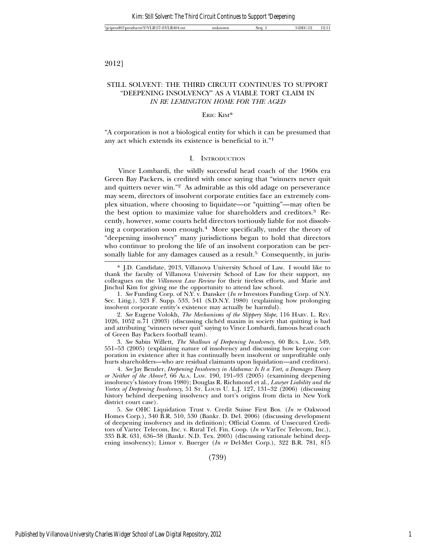### 2012]

# STILL SOLVENT: THE THIRD CIRCUIT CONTINUES TO SUPPORT "DEEPENING INSOLVENCY" AS A VIABLE TORT CLAIM IN *IN RE LEMINGTON HOME FOR THE AGED*

### ERIC KIM\*

"A corporation is not a biological entity for which it can be presumed that any act which extends its existence is beneficial to it."1

### I. INTRODUCTION

Vince Lombardi, the wildly successful head coach of the 1960s era Green Bay Packers, is credited with once saying that "winners never quit and quitters never win."2 As admirable as this old adage on perseverance may seem, directors of insolvent corporate entities face an extremely complex situation, where choosing to liquidate—or "quitting"—may often be the best option to maximize value for shareholders and creditors.3 Recently, however, some courts held directors tortiously liable for not dissolving a corporation soon enough.4 More specifically, under the theory of "deepening insolvency" many jurisdictions began to hold that directors who continue to prolong the life of an insolvent corporation can be personally liable for any damages caused as a result.<sup>5</sup> Consequently, in juris-

1. *See* Funding Corp. of N.Y. v. Dansker (*In re* Investors Funding Corp. of N.Y. Sec. Litig.), 523 F. Supp. 533, 541 (S.D.N.Y. 1980) (explaining how prolonging insolvent corporate entity's existence may actually be harmful).

2. *See* Eugene Volokh, *The Mechanisms of the Slippery Slope*, 116 HARV. L. REV. 1026, 1052 n.71 (2003) (discussing cliched maxim in society that quitting is bad ´ and attributing "winners never quit" saying to Vince Lombardi, famous head coach of Green Bay Packers football team).

3. *See* Sabin Willett, *The Shallows of Deepening Insolvency*, 60 BUS. LAW. 549, 551–53 (2005) (explaining nature of insolvency and discussing how keeping corporation in existence after it has continually been insolvent or unprofitable only hurts shareholders—who are residual claimants upon liquidation—and creditors).

4. *See* Jay Bender, *Deepening Insolvency in Alabama: Is It a Tort, a Damages Theory or Neither of the Above?*, 66 ALA. LAW. 190, 191–93 (2005) (examining deepening insolvency's history from 1980); Douglas R. Richmond et al., *Lawyer Liability and the Vortex of Deepening Insolvency*, 51 ST. LOUIS U. L.J. 127, 131–32 (2006) (discussing history behind deepening insolvency and tort's origins from dicta in New York district court case).

5. *See* OHC Liquidation Trust v. Credit Suisse First Bos. (*In re* Oakwood Homes Corp.), 340 B.R. 510, 530 (Bankr. D. Del. 2006) (discussing development of deepening insolvency and its definition); Official Comm. of Unsecured Creditors of Vartec Telecom, Inc. v. Rural Tel. Fin. Coop. (*In re* VarTec Telecom, Inc.), 335 B.R. 631, 636–38 (Bankr. N.D. Tex. 2005) (discussing rationale behind deepening insolvency); Limor v. Buerger (*In re* Del-Met Corp.), 322 B.R. 781, 815

(739)

<sup>\*</sup> J.D. Candidate, 2013, Villanova University School of Law. I would like to thank the faculty of Villanova University School of Law for their support, my colleagues on the *Villanova Law Review* for their tireless efforts, and Marie and Jinchul Kim for giving me the opportunity to attend law school.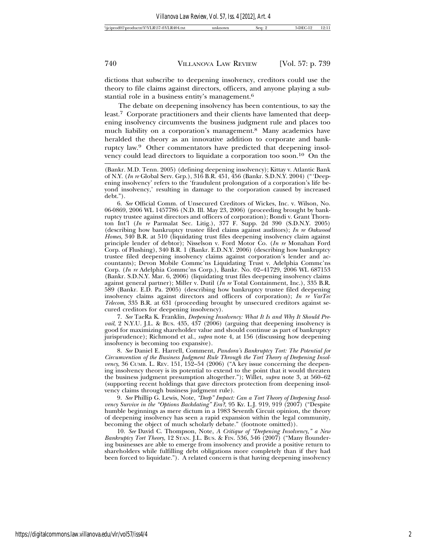dictions that subscribe to deepening insolvency, creditors could use the theory to file claims against directors, officers, and anyone playing a substantial role in a business entity's management.6

The debate on deepening insolvency has been contentious, to say the least.7 Corporate practitioners and their clients have lamented that deepening insolvency circumvents the business judgment rule and places too much liability on a corporation's management.8 Many academics have heralded the theory as an innovative addition to corporate and bankruptcy law.9 Other commentators have predicted that deepening insolvency could lead directors to liquidate a corporation too soon.10 On the

6. *See* Official Comm. of Unsecured Creditors of Wickes, Inc. v. Wilson, No. 06-0869, 2006 WL 1457786 (N.D. Ill. May 23, 2006) (proceeding brought by bankruptcy trustee against directors and officers of corporation); Bondi v. Grant Thornton Int'l (*In re* Parmalat Sec. Litig.), 377 F. Supp. 2d 390 (S.D.N.Y. 2005) (describing how bankruptcy trustee filed claims against auditors); *In re Oakwood Homes*, 340 B.R. at 510 (liquidating trust files deepening insolvency claim against principle lender of debtor); Nisselson v. Ford Motor Co. (*In re* Monahan Ford Corp. of Flushing), 340 B.R. 1 (Bankr. E.D.N.Y. 2006) (describing how bankruptcy trustee filed deepening insolvency claims against corporation's lender and accountants); Devon Mobile Commc'ns Liquidating Trust v. Adelphia Commc'ns Corp. (*In re* Adelphia Commc'ns Corp.), Bankr. No. 02–41729, 2006 WL 687153 (Bankr. S.D.N.Y. Mar. 6, 2006) (liquidating trust files deepening insolvency claims against general partner); Miller v. Dutil (*In re* Total Containment, Inc.), 335 B.R. 589 (Bankr. E.D. Pa. 2005) (describing how bankruptcy trustee filed deepening insolvency claims against directors and officers of corporation); *In re VarTec Telecom*, 335 B.R. at 631 (proceeding brought by unsecured creditors against secured creditors for deepening insolvency).

7. *See* TaeRa K. Franklin, *Deepening Insolvency: What It Is and Why It Should Prevail*, 2 N.Y.U. J.L. & BUS. 435, 437 (2006) (arguing that deepening insolvency is good for maximizing shareholder value and should continue as part of bankruptcy jurisprudence); Richmond et al., *supra* note 4, at 156 (discussing how deepening insolvency is becoming too expansive).

8. *See* Daniel E. Harrell, Comment, *Pandora's Bankruptcy Tort: The Potential for Circumvention of the Business Judgment Rule Through the Tort Theory of Deepening Insolvency*, 36 CUMB. L. REV. 151, 152–54 (2006) ("A key issue concerning the deepening insolvency theory is its potential to extend to the point that it would threaten the business judgment presumption altogether."); Willet, *supra* note 3, at 560–62 (supporting recent holdings that gave directors protection from deepening insolvency claims through business judgment rule).

9. *See* Phillip G. Lewis, Note, *"Deep" Impact: Can a Tort Theory of Deepening Insolvency Survive in the "Options Backdating" Era?*, 95 KY. L.J. 919, 919 (2007) ("Despite humble beginnings as mere dictum in a 1983 Seventh Circuit opinion, the theory of deepening insolvency has seen a rapid expansion within the legal community, becoming the object of much scholarly debate." (footnote omitted)).

10. *See* David C. Thompson, Note, *A Critique of "Deepening Insolvency," a New Bankruptcy Tort Theory*, 12 STAN. J.L. BUS. & FIN. 536, 546 (2007) ("Many floundering businesses are able to emerge from insolvency and provide a positive return to shareholders while fulfilling debt obligations more completely than if they had been forced to liquidate."). A related concern is that having deepening insolvency

<sup>(</sup>Bankr. M.D. Tenn. 2005) (defining deepening insolvency); Kittay v. Atlantic Bank of N.Y. (*In re* Global Serv. Grp.), 316 B.R. 451, 456 (Bankr. S.D.N.Y. 2004) ("'Deepening insolvency' refers to the 'fraudulent prolongation of a corporation's life beyond insolvency,' resulting in damage to the corporation caused by increased debt.").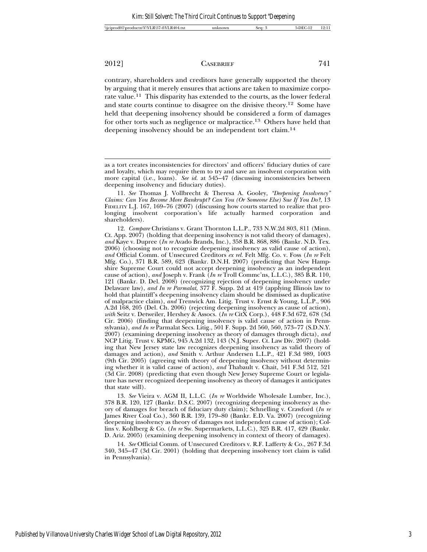contrary, shareholders and creditors have generally supported the theory by arguing that it merely ensures that actions are taken to maximize corporate value.11 This disparity has extended to the courts, as the lower federal and state courts continue to disagree on the divisive theory.12 Some have held that deepening insolvency should be considered a form of damages for other torts such as negligence or malpractice.13 Others have held that deepening insolvency should be an independent tort claim.14

11. *See* Thomas J. Vollbrecht & Theresa A. Gooley, *"Deepening Insolvency" Claims: Can You Become More Bankrupt? Can You (Or Someone Else) Sue If You Do?*, 13 FIDELITY L.J. 167, 169–76 (2007) (discussing how courts started to realize that prolonging insolvent corporation's life actually harmed corporation and shareholders).

12. *Compare* Christians v. Grant Thornton L.L.P., 733 N.W.2d 803, 811 (Minn. Ct. App. 2007) (holding that deepening insolvency is not valid theory of damages), *and* Kaye v. Dupree (*In re* Avado Brands, Inc.), 358 B.R. 868, 886 (Bankr. N.D. Tex. 2006) (choosing not to recognize deepening insolvency as valid cause of action), *and* Official Comm. of Unsecured Creditors *ex rel.* Felt Mfg. Co. v. Foss (*In re* Felt Mfg. Co.), 371 B.R. 589, 623 (Bankr. D.N.H. 2007) (predicting that New Hampshire Supreme Court could not accept deepening insolvency as an independent cause of action), *and* Joseph v. Frank (*In re* Troll Commc'ns, L.L.C.), 385 B.R. 110, 121 (Bankr. D. Del. 2008) (recognizing rejection of deepening insolvency under Delaware law), *and In re Parmalat*, 377 F. Supp. 2d at 419 (applying Illinois law to hold that plaintiff's deepening insolvency claim should be dismissed as duplicative of malpractice claim), *and* Trenwick Am. Litig. Trust v. Ernst & Young, L.L.P., 906 A.2d 168, 205 (Del. Ch. 2006) (rejecting deepening insolvency as cause of action), *with* Seitz v. Detweiler, Hershey & Assocs. (*In re* CitX Corp.), 448 F.3d 672, 678 (3d Cir. 2006) (finding that deepening insolvency is valid cause of action in Pennsylvania), *and In re* Parmalat Secs. Litig., 501 F. Supp. 2d 560, 560, 573–77 (S.D.N.Y. 2007) (examining deepening insolvency as theory of damages through dicta), *and* NCP Litig. Trust v. KPMG, 945 A.2d 132, 143 (N.J. Super. Ct. Law Div. 2007) (holding that New Jersey state law recognizes deepening insolvency as valid theory of damages and action), *and* Smith v. Arthur Andersen L.L.P., 421 F.3d 989, 1003 (9th Cir. 2005) (agreeing with theory of deepening insolvency without determining whether it is valid cause of action), *and* Thabault v. Chait, 541 F.3d 512, 521 (3d Cir. 2008) (predicting that even though New Jersey Supreme Court or legislature has never recognized deepening insolvency as theory of damages it anticipates that state will).

13. *See* Vieira v. AGM II, L.L.C. (*In re* Worldwide Wholesale Lumber, Inc.), 378 B.R. 120, 127 (Bankr. D.S.C. 2007) (recognizing deepening insolvency as theory of damages for breach of fiduciary duty claim); Schnelling v. Crawford (*In re* James River Coal Co.), 360 B.R. 139, 179–80 (Bankr. E.D. Va. 2007) (recognizing deepening insolvency as theory of damages not independent cause of action); Collins v. Kohlberg & Co. (*In re* Sw. Supermarkets, L.L.C.), 325 B.R. 417, 429 (Bankr. D. Ariz. 2005) (examining deepening insolvency in context of theory of damages).

14. *See* Official Comm. of Unsecured Creditors v. R.F. Lafferty & Co., 267 F.3d 340, 345–47 (3d Cir. 2001) (holding that deepening insolvency tort claim is valid in Pennsylvania).

as a tort creates inconsistencies for directors' and officers' fiduciary duties of care and loyalty, which may require them to try and save an insolvent corporation with more capital (i.e., loans). *See id.* at 545–47 (discussing inconsistencies between deepening insolvency and fiduciary duties).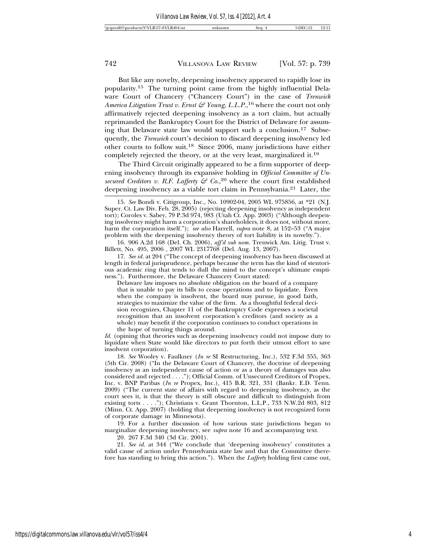But like any novelty, deepening insolvency appeared to rapidly lose its popularity.15 The turning point came from the highly influential Delaware Court of Chancery ("Chancery Court") in the case of *Trenwick America Litigation Trust v. Ernst & Young, L.L.P.*, 16 where the court not only affirmatively rejected deepening insolvency as a tort claim, but actually reprimanded the Bankruptcy Court for the District of Delaware for assuming that Delaware state law would support such a conclusion.17 Subsequently, the *Trenwick* court's decision to discard deepening insolvency led other courts to follow suit.18 Since 2006, many jurisdictions have either completely rejected the theory, or at the very least, marginalized it.19

The Third Circuit originally appeared to be a firm supporter of deepening insolvency through its expansive holding in *Official Committee of Unsecured Creditors v. R.F. Lafferty & Co.*, 20 where the court first established deepening insolvency as a viable tort claim in Pennsylvania.21 Later, the

16. 906 A.2d 168 (Del. Ch. 2006), *aff'd sub nom.* Trenwick Am. Litig. Trust v. Billett, No. 495, 2006 , 2007 WL 2317768 (Del. Aug. 13, 2007).

17. *See id.* at 204 ("The concept of deepening insolvency has been discussed at length in federal jurisprudence, perhaps because the term has the kind of stentorious academic ring that tends to dull the mind to the concept's ultimate emptiness."). Furthermore, the Delaware Chancery Court stated:

Delaware law imposes no absolute obligation on the board of a company that is unable to pay its bills to cease operations and to liquidate. Even when the company is insolvent, the board may pursue, in good faith, strategies to maximize the value of the firm. As a thoughtful federal decision recognizes, Chapter 11 of the Bankruptcy Code expresses a societal recognition that an insolvent corporation's creditors (and society as a whole) may benefit if the corporation continues to conduct operations in the hope of turning things around.

*Id.* (opining that theories such as deepening insolvency could not impose duty to liquidate when State would like directors to put forth their utmost effort to save insolvent corporation).

18. *See* Wooley v. Faulkner (*In re* SI Restructuring, Inc.), 532 F.3d 355, 363 (5th Cir. 2008) ("In the Delaware Court of Chancery, the doctrine of deepening insolvency as an independent cause of action or as a theory of damages was also considered and rejected . . . ."); Official Comm. of Unsecured Creditors of Propex, Inc. v. BNP Paribas (*In re* Propex, Inc.), 415 B.R. 321, 331 (Bankr. E.D. Tenn. 2009) ("The current state of affairs with regard to deepening insolvency, as the court sees it, is that the theory is still obscure and difficult to distinguish from existing torts . . . ."); Christians v. Grant Thornton, L.L.P., 733 N.W.2d 803, 812 (Minn. Ct. App. 2007) (holding that deepening insolvency is not recognized form of corporate damage in Minnesota).

19. For a further discussion of how various state jurisdictions began to marginalize deepening insolvency, see *supra* note 16 and accompanying text.

20. 267 F.3d 340 (3d Cir. 2001).

21. *See id.* at 344 ("We conclude that 'deepening insolvency' constitutes a valid cause of action under Pennsylvania state law and that the Committee therefore has standing to bring this action."). When the *Lafferty* holding first came out,

<sup>15.</sup> *See* Bondi v. Citigroup, Inc., No. 10902-04, 2005 WL 975856, at \*21 (N.J. Super. Ct. Law Div. Feb. 28, 2005) (rejecting deepening insolvency as independent tort); Coroles v. Sabey, 79 P.3d 974, 983 (Utah Ct. App. 2003) ("Although deepening insolvency might harm a corporation's shareholders, it does not, without more, harm the corporation itself."); *see also* Harrell, *supra* note 8, at 152–53 ("A major problem with the deepening insolvency theory of tort liability is its novelty.").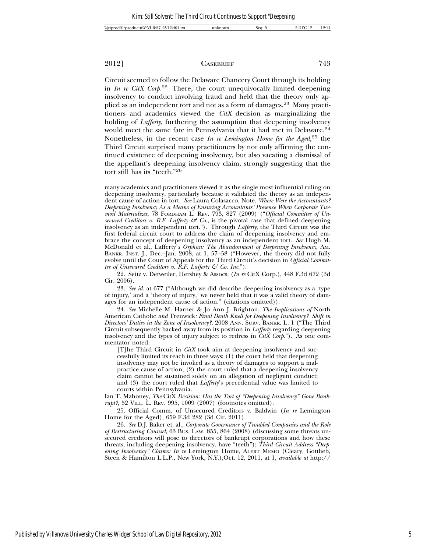Circuit seemed to follow the Delaware Chancery Court through its holding in *In re CitX Corp.*22 There, the court unequivocally limited deepening insolvency to conduct involving fraud and held that the theory only applied as an independent tort and not as a form of damages.23 Many practitioners and academics viewed the *CitX* decision as marginalizing the holding of *Lafferty*, furthering the assumption that deepening insolvency would meet the same fate in Pennsylvania that it had met in Delaware.24 Nonetheless, in the recent case *In re Lemington Home for the Aged*, 25 the Third Circuit surprised many practitioners by not only affirming the continued existence of deepening insolvency, but also vacating a dismissal of the appellant's deepening insolvency claim, strongly suggesting that the tort still has its "teeth."26

23. *See id.* at 677 ("Although we did describe deepening insolvency as a 'type of injury,' and a 'theory of injury,' we never held that it was a valid theory of damages for an independent cause of action." (citations omitted)).

24. *See* Michelle M. Harner & Jo Ann J. Brighton, *The Implications of* North American Catholic *and* Trenwick*: Final Death Knell for Deepening Insolvency? Shift in Directors' Duties in the Zone of Insolvency?*, 2008 ANN. SURV. BANKR. L. 1 ("The Third Circuit subsequently backed away from its position in *Lafferty* regarding deepening insolvency and the types of injury subject to redress in *CitX Corp.*"). As one commentator noted:

[T]he Third Circuit in *CitX* took aim at deepening insolvency and successfully limited its reach in three ways: (1) the court held that deepening insolvency may not be invoked as a theory of damages to support a malpractice cause of action; (2) the court ruled that a deepening insolvency claim cannot be sustained solely on an allegation of negligent conduct; and (3) the court ruled that *Lafferty*'s precedential value was limited to courts within Pennsylvania.

Ian T. Mahoney, *The* CitX *Decision: Has the Tort of "Deepening Insolvency" Gone Bankrupt?*, 52 VILL. L. REV. 995, 1009 (2007) (footnotes omitted).

25. Official Comm. of Unsecured Creditors v. Baldwin (*In re* Lemington Home for the Aged), 659 F.3d 282 (3d Cir. 2011).

26. *See* D.J. Baker et. al., *Corporate Governance of Troubled Companies and the Role of Restructuring Counsel*, 63 BUS. LAW. 855, 864 (2008) (discussing some threats unsecured creditors will pose to directors of bankrupt corporations and how these threats, including deepening insolvency, have "teeth"); *Third Circuit Address "Deepening Insolvency" Claims: In re* Lemington Home, ALERT MEMO (Cleary, Gottlieb, Steen & Hamilton L.L.P., New York, N.Y.),Oct. 12, 2011, at 1, *available at* http://

many academics and practitioners viewed it as the single most influential ruling on deepening insolvency, particularly because it validated the theory as an independent cause of action in tort. *See* Laura Colasacco, Note, *Where Were the Accountants? Deepening Insolvency As a Means of Ensuring Accountants' Presence When Corporate Turmoil Materializes*, 78 FORDHAM L. REV. 793, 827 (2009) ("*Official Committee of Unsecured Creditors v. R.F. Lafferty*  $\mathcal{F}$  *Co.*, is the pivotal case that defined deepening insolvency as an independent tort."). Through *Lafferty*, the Third Circuit was the first federal circuit court to address the claim of deepening insolvency and embrace the concept of deepening insolvency as an independent tort. *See* Hugh M. McDonald et al., Lafferty'*s Orphan: The Abandonment of Deepening Insolvency*, AM. BANKR. INST. J., Dec.–Jan. 2008, at 1, 57–58 ("However, the theory did not fully evolve until the Court of Appeals for the Third Circuit's decision in *Official Committee of Unsecured Creditors v. R.F. Lafferty & Co. Inc.*").

<sup>22.</sup> Seitz v. Detweiler, Hershey & Assocs. (*In re* CitX Corp.), 448 F.3d 672 (3d Cir. 2006).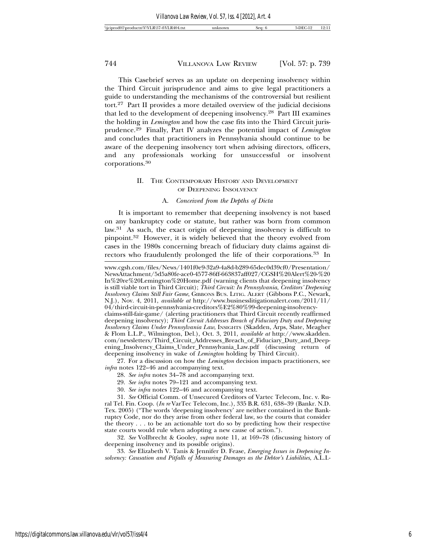This Casebrief serves as an update on deepening insolvency within the Third Circuit jurisprudence and aims to give legal practitioners a guide to understanding the mechanisms of the controversial but resilient tort.27 Part II provides a more detailed overview of the judicial decisions that led to the development of deepening insolvency.28 Part III examines the holding in *Lemington* and how the case fits into the Third Circuit jurisprudence.29 Finally, Part IV analyzes the potential impact of *Lemington* and concludes that practitioners in Pennsylvania should continue to be aware of the deepening insolvency tort when advising directors, officers, and any professionals working for unsuccessful or insolvent corporations.<sup>30</sup>

# II. THE CONTEMPORARY HISTORY AND DEVELOPMENT OF DEEPENING INSOLVENCY

### A. *Conceived from the Depths of Dicta*

It is important to remember that deepening insolvency is not based on any bankruptcy code or statute, but rather was born from common law.31 As such, the exact origin of deepening insolvency is difficult to pinpoint.32 However, it is widely believed that the theory evolved from cases in the 1980s concerning breach of fiduciary duty claims against directors who fraudulently prolonged the life of their corporations.<sup>33</sup> In

www.cgsh.com/files/News/1401f0e9-32a9-4a8d-b289-65dec0d39cf0/Presentation/ NewsAttachment/5d5a80fe-ace0-4577-86ff-663837aff027/CGSH%20Alert%20-%20 In%20re%20Lemington%20Home.pdf (warning clients that deepening insolvency is still viable tort in Third Circuit); *Third Circuit: In Pennsylvania, Creditors' Deepening Insolvency Claims Still Fair Game*, GIBBONS BUS. LITIG. ALERT (Gibbons P.C., Newark, N.J.), Nov. 4, 2011, *available at* http://www.businesslitigationalert.com/2011/11/ 04/third-circuit-in-pennsylvania-creditors%E2%80%99-deepening-insolvency-

claims-still-fair-game/ (alerting practitioners that Third Circuit recently reaffirmed deepening insolvency); *Third Circuit Addresses Breach of Fiduciary Duty and Deepening Insolvency Claims Under Pennsylvania Law*, INSIGHTS (Skadden, Arps, Slate, Meagher & Flom L.L.P., Wilmington, Del.), Oct. 3, 2011, *available at* http://www.skadden. com/newsletters/Third\_Circuit\_Addresses\_Breach\_of\_Fiduciary\_Duty\_and\_Deepening\_Insolvency\_Claims\_Under\_Pennsylvania\_Law.pdf (discussing return of deepening insolvency in wake of *Lemington* holding by Third Circuit).

<sup>27.</sup> For a discussion on how the *Lemington* decision impacts practitioners, see *infra* notes 122–46 and accompanying text.

<sup>28.</sup> *See infra* notes 34–78 and accompanying text.

<sup>29.</sup> *See infra* notes 79–121 and accompanying text.

<sup>30.</sup> *See infra* notes 122–46 and accompanying text.

<sup>31.</sup> *See* Official Comm. of Unsecured Creditors of Vartec Telecom, Inc. v. Rural Tel. Fin. Coop. (*In re* VarTec Telecom, Inc.), 335 B.R. 631, 638–39 (Bankr. N.D. Tex. 2005) ("The words 'deepening insolvency' are neither contained in the Bankruptcy Code, nor do they arise from other federal law, so the courts that consider the theory . . . to be an actionable tort do so by predicting how their respective state courts would rule when adopting a new cause of action.").

<sup>32.</sup> *See* Vollbrecht & Gooley, *supra* note 11, at 169–78 (discussing history of deepening insolvency and its possible origins).

<sup>33.</sup> *See* Elizabeth V. Tanis & Jennifer D. Fease, *Emerging Issues in Deepening Insolvency: Causation and Pitfalls of Measuring Damages as the Debtor's Liabilities*, A.L.I.-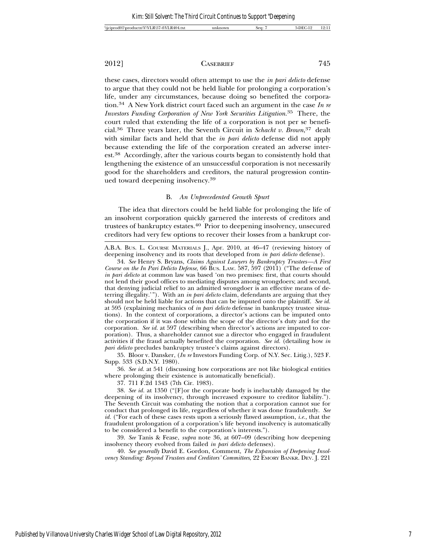these cases, directors would often attempt to use the *in pari delicto* defense to argue that they could not be held liable for prolonging a corporation's life, under any circumstances, because doing so benefited the corporation.34 A New York district court faced such an argument in the case *In re Investors Funding Corporation of New York Securities Litigation*. 35 There, the court ruled that extending the life of a corporation is not per se beneficial.36 Three years later, the Seventh Circuit in *Schacht v. Brown*, 37 dealt with similar facts and held that the *in pari delicto* defense did not apply because extending the life of the corporation created an adverse interest.38 Accordingly, after the various courts began to consistently hold that lengthening the existence of an unsuccessful corporation is not necessarily good for the shareholders and creditors, the natural progression continued toward deepening insolvency.39

### B. *An Unprecedented Growth Spurt*

The idea that directors could be held liable for prolonging the life of an insolvent corporation quickly garnered the interests of creditors and trustees of bankruptcy estates.40 Prior to deepening insolvency, unsecured creditors had very few options to recover their losses from a bankrupt cor-

A.B.A. BUS. L. COURSE MATERIALS J., Apr. 2010, at 46–47 (reviewing history of deepening insolvency and its roots that developed from *in pari delicto* defense).

35. Bloor v. Dansker, (*In re* Investors Funding Corp. of N.Y. Sec. Litig.), 523 F. Supp. 533 (S.D.N.Y. 1980).

36. *See id.* at 541 (discussing how corporations are not like biological entities where prolonging their existence is automatically beneficial).

37. 711 F.2d 1343 (7th Cir. 1983).

38. *See id.* at 1350 ("[F]or the corporate body is ineluctably damaged by the deepening of its insolvency, through increased exposure to creditor liability."). The Seventh Circuit was combating the notion that a corporation cannot sue for conduct that prolonged its life, regardless of whether it was done fraudulently. *See id.* ("For each of these cases rests upon a seriously flawed assumption, *i.e.*, that the fraudulent prolongation of a corporation's life beyond insolvency is automatically to be considered a benefit to the corporation's interests.").

39. *See* Tanis & Fease, *supra* note 36, at 607–09 (describing how deepening insolvency theory evolved from failed *in pari delicto* defenses).

40. *See generally* David E. Gordon, Comment, *The Expansion of Deepening Insolvency Standing: Beyond Trustees and Creditors' Committees, 22 EMORY BANKR. DEV.* J. 221

<sup>34.</sup> *See* Henry S. Bryans, *Claims Against Lawyers by Bankruptcy Trustees—A First Course on the In Pari Delicto Defense*, 66 BUS. LAW. 587, 597 (2011) ("The defense of *in pari delicto* at common law was based 'on two premises: first, that courts should not lend their good offices to mediating disputes among wrongdoers; and second, that denying judicial relief to an admitted wrongdoer is an effective means of deterring illegality.'"). With an *in pari delicto* claim, defendants are arguing that they should not be held liable for actions that can be imputed onto the plaintiff. *See id.* at 595 (explaining mechanics of *in pari delicto* defense in bankruptcy trustee situations). In the context of corporations, a director's actions can be imputed onto the corporation if it was done within the scope of the director's duty and for the corporation. *See id.* at 597 (describing when director's actions are imputed to corporation). Thus, a shareholder cannot sue a director who engaged in fraudulent activities if the fraud actually benefited the corporation. *See id.* (detailing how *in pari delicto* precludes bankruptcy trustee's claims against directors).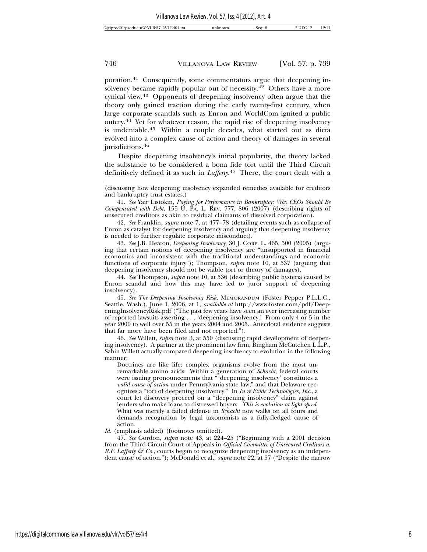poration.41 Consequently, some commentators argue that deepening insolvency became rapidly popular out of necessity.42 Others have a more cynical view.43 Opponents of deepening insolvency often argue that the theory only gained traction during the early twenty-first century, when large corporate scandals such as Enron and WorldCom ignited a public outcry.44 Yet for whatever reason, the rapid rise of deepening insolvency is undeniable.45 Within a couple decades, what started out as dicta evolved into a complex cause of action and theory of damages in several jurisdictions.<sup>46</sup>

Despite deepening insolvency's initial popularity, the theory lacked the substance to be considered a bona fide tort until the Third Circuit definitively defined it as such in *Lafferty*. 47 There, the court dealt with a

41. *See* Yair Listokin, *Paying for Performance in Bankruptcy: Why CEOs Should Be Compensated with Debt*, 155 U. PA. L. REV. 777, 806 (2007) (describing rights of unsecured creditors as akin to residual claimants of dissolved corporation).

42. *See* Franklin, *supra* note 7, at 477–78 (detailing events such as collapse of Enron as catalyst for deepening insolvency and arguing that deepening insolvency is needed to further regulate corporate misconduct).

43. *See* J.B. Heaton, *Deepening Insolvency*, 30 J. CORP. L. 465, 500 (2005) (arguing that certain notions of deepening insolvency are "unsupported in financial economics and inconsistent with the traditional understandings and economic functions of corporate injury"); Thompson, *supra* note 10, at 537 (arguing that deepening insolvency should not be viable tort or theory of damages).

44. *See* Thompson, *supra* note 10, at 536 (describing public hysteria caused by Enron scandal and how this may have led to juror support of deepening insolvency).

45. *See The Deepening Insolvency Risk*, MEMORANDUM (Foster Pepper P.L.L.C., Seattle, Wash.), June 1, 2006, at 1, *available at* http://www.foster.com/pdf/DeepeningInsolvencyRisk.pdf ("The past few years have seen an ever increasing number of reported lawsuits asserting . . . 'deepening insolvency.' From only 4 or 5 in the year 2000 to well over 55 in the years 2004 and 2005. Anecdotal evidence suggests that far more have been filed and not reported.").

46. *See* Willett, *supra* note 3, at 550 (discussing rapid development of deepening insolvency). A partner at the prominent law firm, Bingham McCutchen L.L.P., Sabin Willett actually compared deepening insolvency to evolution in the following manner:

Doctrines are like life: complex organisms evolve from the most unremarkable amino acids. Within a generation of *Schacht*, federal courts were issuing pronouncements that "'deepening insolvency' constitutes a *valid cause of action* under Pennsylvania state law," and that Delaware recognizes a "tort of deepening insolvency." In *In re Exide Technologies, Inc.*, a court let discovery proceed on a "deepening insolvency" claim against lenders who make loans to distressed buyers. *This is evolution at light speed*. What was merely a failed defense in *Schacht* now walks on all fours and demands recognition by legal taxonomists as a fully-fledged cause of action.

Id. (emphasis added) (footnotes omitted).

47. *See* Gordon, *supra* note 43, at 224–25 ("Beginning with a 2001 decision from the Third Circuit Court of Appeals in *Official Committee of Unsecured Creditors v. R.F. Lafferty & Co.*, courts began to recognize deepening insolvency as an independent cause of action."); McDonald et al., *supra* note 22, at 57 ("Despite the narrow

<sup>(</sup>discussing how deepening insolvency expanded remedies available for creditors and bankruptcy trust estates.)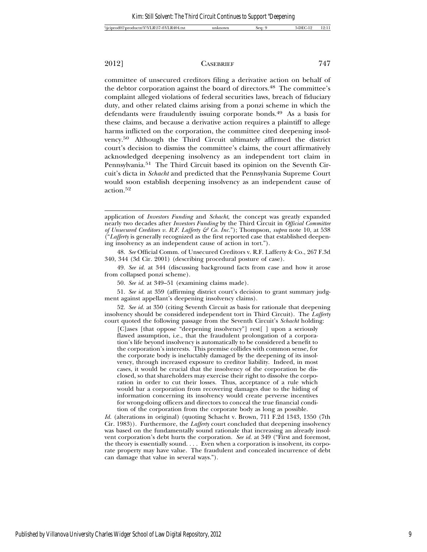committee of unsecured creditors filing a derivative action on behalf of the debtor corporation against the board of directors.<sup>48</sup> The committee's complaint alleged violations of federal securities laws, breach of fiduciary duty, and other related claims arising from a ponzi scheme in which the defendants were fraudulently issuing corporate bonds.49 As a basis for these claims, and because a derivative action requires a plaintiff to allege harms inflicted on the corporation, the committee cited deepening insolvency.50 Although the Third Circuit ultimately affirmed the district court's decision to dismiss the committee's claims, the court affirmatively acknowledged deepening insolvency as an independent tort claim in Pennsylvania.51 The Third Circuit based its opinion on the Seventh Circuit's dicta in *Schacht* and predicted that the Pennsylvania Supreme Court would soon establish deepening insolvency as an independent cause of action.<sup>52</sup>

51. *See id.* at 359 (affirming district court's decision to grant summary judgment against appellant's deepening insolvency claims).

52. *See id.* at 350 (citing Seventh Circuit as basis for rationale that deepening insolvency should be considered independent tort in Third Circuit). The *Lafferty* court quoted the following passage from the Seventh Circuit's *Schacht* holding:

[C]ases [that oppose "deepening insolvency"] rest[ ] upon a seriously flawed assumption, i.e., that the fraudulent prolongation of a corporation's life beyond insolvency is automatically to be considered a benefit to the corporation's interests. This premise collides with common sense, for the corporate body is ineluctably damaged by the deepening of its insolvency, through increased exposure to creditor liability. Indeed, in most cases, it would be crucial that the insolvency of the corporation be disclosed, so that shareholders may exercise their right to dissolve the corporation in order to cut their losses. Thus, acceptance of a rule which would bar a corporation from recovering damages due to the hiding of information concerning its insolvency would create perverse incentives for wrong-doing officers and directors to conceal the true financial condition of the corporation from the corporate body as long as possible.

*Id.* (alterations in original) (quoting Schacht v. Brown, 711 F.2d 1343, 1350 (7th Cir. 1983)). Furthermore, the *Lafferty* court concluded that deepening insolvency was based on the fundamentally sound rationale that increasing an already insolvent corporation's debt hurts the corporation. *See id.* at 349 ("First and foremost, the theory is essentially sound. . . . Even when a corporation is insolvent, its corporate property may have value. The fraudulent and concealed incurrence of debt can damage that value in several ways.").

application of *Investors Funding* and *Schacht*, the concept was greatly expanded nearly two decades after *Investors Funding* by the Third Circuit in *Official Committee of Unsecured Creditors v. R.F. Lafferty & Co. Inc.*"); Thompson, *supra* note 10, at 538 ("*Lafferty* is generally recognized as the first reported case that established deepening insolvency as an independent cause of action in tort.").

<sup>48.</sup> *See* Official Comm. of Unsecured Creditors v. R.F. Lafferty & Co., 267 F.3d 340, 344 (3d Cir. 2001) (describing procedural posture of case).

<sup>49.</sup> *See id.* at 344 (discussing background facts from case and how it arose from collapsed ponzi scheme).

<sup>50.</sup> *See id.* at 349–51 (examining claims made).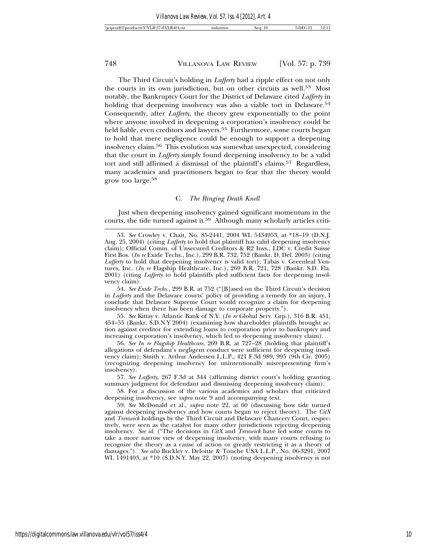The Third Circuit's holding in *Lafferty* had a ripple effect on not only the courts in its own jurisdiction, but on other circuits as well.53 Most notably, the Bankruptcy Court for the District of Delaware cited *Lafferty* in holding that deepening insolvency was also a viable tort in Delaware.<sup>54</sup> Consequently, after *Lafferty*, the theory grew exponentially to the point where anyone involved in deepening a corporation's insolvency could be held liable, even creditors and lawyers.<sup>55</sup> Furthermore, some courts began to hold that mere negligence could be enough to support a deepening insolvency claim.56 This evolution was somewhat unexpected, considering that the court in *Lafferty* simply found deepening insolvency to be a valid tort and still affirmed a dismissal of the plaintiff's claims.57 Regardless, many academics and practitioners began to fear that the theory would grow too large.58

### C. *The Ringing Death Knell*

Just when deepening insolvency gained significant momentum in the courts, the tide turned against it.59 Although many scholarly articles criti-

54. *See Exide Techs.*, 299 B.R. at 752 ("[B]ased on the Third Circuit's decision in *Lafferty* and the Delaware courts' policy of providing a remedy for an injury, I conclude that Delaware Supreme Court would recognize a claim for deepening insolvency when there has been damage to corporate property.").

55. *See* Kittay v. Atlantic Bank of N.Y. (*In re* Global Serv. Grp.), 316 B.R. 451, 454–55 (Bankr. S.D.N.Y 2004) (examining how shareholder plaintiffs brought action against creditor for extending loans to corporation prior to bankruptcy and increasing corporation's insolvency, which led to deepening insolvency claim).

56. *See In re Flagship Healthcare*, 269 B.R. at 727–28 (holding that plaintiff's allegations of defendant's negligent conduct were sufficient for deepening insolvency claim); Smith v. Arthur Andersen L.L.P., 421 F.3d 989, 995 (9th Cir. 2005) (recognizing deepening insolvency for unintentionally misrepresenting firm's insolvency).

57. *See Lafferty*, 267 F.3d at 344 (affirming district court's holding granting summary judgment for defendant and dismissing deepening insolvency claim).

58. For a discussion of the various academics and scholars that criticized deepening insolvency, see *supra* note 9 and accompanying text.

59. *See* McDonald et al., *supra* note 22, at 60 (discussing how tide turned against deepening insolvency and how courts began to reject theory). The *CitX* and *Trenwick* holdings by the Third Circuit and Delaware Chancery Court, respectively, were seen as the catalyst for many other jurisdictions rejecting deepening insolvency. *See id.* ("The decisions in *CitX* and *Trenwick* have led some courts to take a more narrow view of deepening insolvency, with many courts refusing to recognize the theory as a cause of action or greatly restricting it as a theory of damages."). *See also* Buckley v. Deloitte & Touche USA L.L.P., No. 06-3291, 2007 WL 1491403, at \*10 (S.D.N.Y. May 22, 2007) (noting deepening insolvency is not

<sup>53.</sup> *See* Crowley v. Chait, No. 85-2441, 2004 WL 5434953, at \*18–19 (D.N.J. Aug. 25, 2004) (citing *Lafferty* to hold that plaintiff has valid deepening insolvency claim); Official Comm. of Unsecured Creditors & R2 Invs., LDC v. Credit Suisse First Bos. (*In re* Exide Techs., Inc.), 299 B.R. 732, 752 (Bankr. D. Del. 2003) (citing *Lafferty* to hold that deepening insolvency is valid tort); Tabas v. Greenleaf Ventures, Inc. (*In re* Flagship Healthcare, Inc.), 269 B.R. 721, 728 (Bankr. S.D. Fla. 2001) (citing *Lafferty* to hold plaintiffs pled sufficient facts for deepening insolvency claim).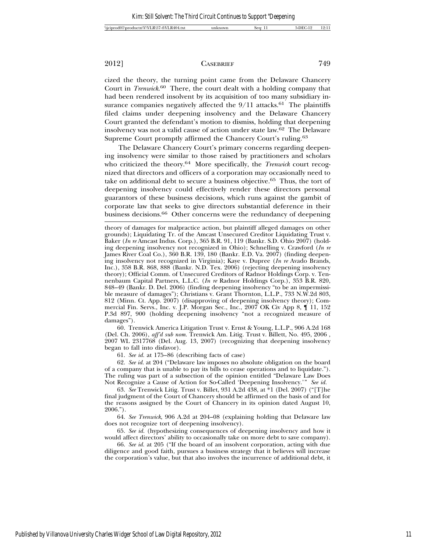cized the theory, the turning point came from the Delaware Chancery Court in *Trenwick*. 60 There, the court dealt with a holding company that had been rendered insolvent by its acquisition of too many subsidiary insurance companies negatively affected the  $9/11$  attacks.<sup>61</sup> The plaintiffs filed claims under deepening insolvency and the Delaware Chancery Court granted the defendant's motion to dismiss, holding that deepening insolvency was not a valid cause of action under state law.62 The Delaware Supreme Court promptly affirmed the Chancery Court's ruling.63

The Delaware Chancery Court's primary concerns regarding deepening insolvency were similar to those raised by practitioners and scholars who criticized the theory.64 More specifically, the *Trenwick* court recognized that directors and officers of a corporation may occasionally need to take on additional debt to secure a business objective.65 Thus, the tort of deepening insolvency could effectively render these directors personal guarantors of these business decisions, which runs against the gambit of corporate law that seeks to give directors substantial deference in their business decisions.<sup>66</sup> Other concerns were the redundancy of deepening

60. Trenwick America Litigation Trust v. Ernst & Young, L.L.P., 906 A.2d 168 (Del. Ch. 2006), *aff'd sub nom.* Trenwick Am. Litig. Trust v. Billett, No. 495, 2006 , 2007 WL 2317768 (Del. Aug. 13, 2007) (recognizing that deepening insolvency began to fall into disfavor).

61. *See id.* at 175–86 (describing facts of case)

62. *See id.* at 204 ("Delaware law imposes no absolute obligation on the board of a company that is unable to pay its bills to cease operations and to liquidate."). The ruling was part of a subsection of the opinion entitled "Delaware Law Does Not Recognize a Cause of Action for So-Called 'Deepening Insolvency.'" *See id.*

63. *See* Trenwick Litig. Trust v. Billet, 931 A.2d 438, at \*1 (Del. 2007) ("[T]he final judgment of the Court of Chancery should be affirmed on the basis of and for the reasons assigned by the Court of Chancery in its opinion dated August 10, 2006.").

64. *See Trenwick*, 906 A.2d at 204–08 (explaining holding that Delaware law does not recognize tort of deepening insolvency).

65. *See id.* (hypothesizing consequences of deepening insolvency and how it would affect directors' ability to occasionally take on more debt to save company).

66. *See id.* at 205 ("If the board of an insolvent corporation, acting with due diligence and good faith, pursues a business strategy that it believes will increase the corporation's value, but that also involves the incurrence of additional debt, it

theory of damages for malpractice action, but plaintiff alleged damages on other grounds); Liquidating Tr. of the Amcast Unsecured Creditor Liquidating Trust v. Baker (*In re* Amcast Indus. Corp.), 365 B.R. 91, 119 (Bankr. S.D. Ohio 2007) (holding deepening insolvency not recognized in Ohio); Schnelling v. Crawford (*In re* James River Coal Co.), 360 B.R. 139, 180 (Bankr. E.D. Va. 2007) (finding deepening insolvency not recognized in Virginia); Kaye v. Dupree (*In re* Avado Brands, Inc.), 358 B.R. 868, 888 (Bankr. N.D. Tex. 2006) (rejecting deepening insolvency theory); Official Comm. of Unsecured Creditors of Radnor Holdings Corp. v. Tennenbaum Capital Partners, L.L.C. (*In re* Radnor Holdings Corp.), 353 B.R. 820, 848–49 (Bankr. D. Del. 2006) (finding deepening insolvency "to be an impermissible measure of damages"); Christians v. Grant Thornton, L.L.P., 733 N.W.2d 803, 812 (Minn. Ct. App. 2007) (disapproving of deepening insolvency theory); Commercial Fin. Servs., Inc. v. J.P. Morgan Sec., Inc., 2007 OK Civ App 8, ¶ 11, 152 P.3d 897, 900 (holding deepening insolvency "not a recognized measure of damages").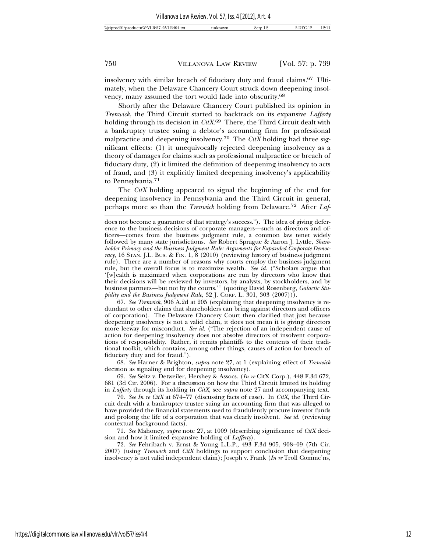insolvency with similar breach of fiduciary duty and fraud claims.67 Ultimately, when the Delaware Chancery Court struck down deepening insolvency, many assumed the tort would fade into obscurity.68

Shortly after the Delaware Chancery Court published its opinion in *Trenwick*, the Third Circuit started to backtrack on its expansive *Lafferty* holding through its decision in *CitX*. 69 There, the Third Circuit dealt with a bankruptcy trustee suing a debtor's accounting firm for professional malpractice and deepening insolvency.70 The *CitX* holding had three significant effects: (1) it unequivocally rejected deepening insolvency as a theory of damages for claims such as professional malpractice or breach of fiduciary duty, (2) it limited the definition of deepening insolvency to acts of fraud, and (3) it explicitly limited deepening insolvency's applicability to Pennsylvania.71

The *CitX* holding appeared to signal the beginning of the end for deepening insolvency in Pennsylvania and the Third Circuit in general, perhaps more so than the *Trenwick* holding from Delaware.72 After *Laf-*

67. *See Trenwick*, 906 A.2d at 205 (explaining that deepening insolvency is redundant to other claims that shareholders can bring against directors and officers of corporation). The Delaware Chancery Court then clarified that just because deepening insolvency is not a valid claim, it does not mean it is giving directors more leeway for misconduct. *See id.* ("The rejection of an independent cause of action for deepening insolvency does not absolve directors of insolvent corporations of responsibility. Rather, it remits plaintiffs to the contents of their traditional toolkit, which contains, among other things, causes of action for breach of fiduciary duty and for fraud.").

68. *See* Harner & Brighton, *supra* note 27, at 1 (explaining effect of *Trenwick* decision as signaling end for deepening insolvency).

69. *See* Seitz v. Detweiler, Hershey & Assocs. (*In re* CitX Corp.), 448 F.3d 672, 681 (3d Cir. 2006). For a discussion on how the Third Circuit limited its holding in *Lafferty* through its holding in *CitX*, see *supra* note 27 and accompanying text.

70. *See In re CitX* at 674–77 (discussing facts of case). In *CitX*, the Third Circuit dealt with a bankruptcy trustee suing an accounting firm that was alleged to have provided the financial statements used to fraudulently procure investor funds and prolong the life of a corporation that was clearly insolvent. *See id.* (reviewing contextual background facts).

71. *See* Mahoney, *supra* note 27, at 1009 (describing significance of *CitX* decision and how it limited expansive holding of *Lafferty*).

72. *See* Fehribach v. Ernst & Young L.L.P., 493 F.3d 905, 908–09 (7th Cir. 2007) (using *Trenwick* and *CitX* holdings to support conclusion that deepening insolvency is not valid independent claim); Joseph v. Frank (*In re* Troll Commc'ns,

does not become a guarantor of that strategy's success."). The idea of giving deference to the business decisions of corporate managers—such as directors and officers—comes from the business judgment rule, a common law tenet widely followed by many state jurisdictions. *See* Robert Sprague & Aaron J. Lyttle, *Shareholder Primacy and the Business Judgment Rule: Arguments for Expanded Corporate Democracy*, 16 STAN. J.L. BUS. & FIN. 1, 8 (2010) (reviewing history of business judgment rule). There are a number of reasons why courts employ the business judgment rule, but the overall focus is to maximize wealth. *See id.* ("Scholars argue that '[w]ealth is maximized when corporations are run by directors who know that their decisions will be reviewed by investors, by analysts, by stockholders, and by business partners—but not by the courts.'" (quoting David Rosenberg, *Galactic Stu*pidity and the Business Judgment Rule, 32 J. Corp. L. 301, 303 (2007))).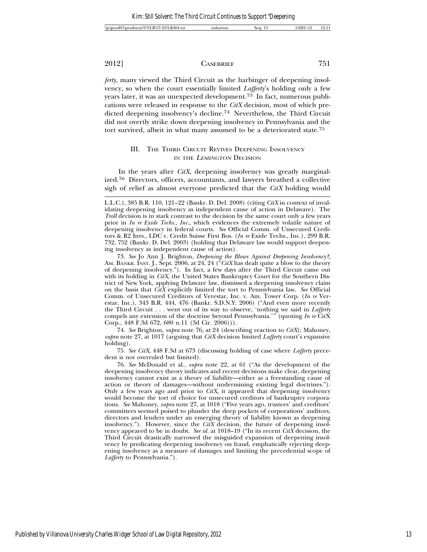*ferty*, many viewed the Third Circuit as the harbinger of deepening insolvency, so when the court essentially limited *Lafferty*'s holding only a few years later, it was an unexpected development.73 In fact, numerous publications were released in response to the *CitX* decision, most of which predicted deepening insolvency's decline.74 Nevertheless, the Third Circuit did not overtly strike down deepening insolvency in Pennsylvania and the tort survived, albeit in what many assumed to be a deteriorated state.75

# III. THE THIRD CIRCUIT REVIVES DEEPENING INSOLVENCY IN THE LEMINGTON DECISION

In the years after *CitX*, deepening insolvency was greatly marginalized.76 Directors, officers, accountants, and lawyers breathed a collective sigh of relief as almost everyone predicted that the *CitX* holding would

74. *See* Brighton, *supra* note 76, at 24 (describing reaction to *CitX*); Mahoney, *supra* note 27, at 1017 (arguing that *CitX* decision limited *Lafferty* court's expansive holding).

75. *See CitX*, 448 F.3d at 673 (discussing holding of case where *Lafferty* precedent is not overruled but limited).

76. *See* McDonald et al., *supra* note 22, at 61 ("As the development of the deepening insolvency theory indicates and recent decisions make clear, deepening insolvency cannot exist as a theory of liability—either as a freestanding cause of action or theory of damages—without undermining existing legal doctrines."). Only a few years ago and prior to *CitX*, it appeared that deepening insolvency would become the tort of choice for unsecured creditors of bankruptcy corporations. *See* Mahoney, *supra* note 27, at 1018 ("Five years ago, trustees' and creditors' committees seemed poised to plunder the deep pockets of corporations' auditors, directors and lenders under an emerging theory of liability known as deepening insolvency."). However, since the *CitX* decision, the future of deepening insolvency appeared to be in doubt. *See id.* at 1018–19 ("In its recent *CitX* decision, the Third Circuit drastically narrowed the misguided expansion of deepening insolvency by predicating deepening insolvency on fraud, emphatically rejecting deepening insolvency as a measure of damages and limiting the precedential scope of *Lafferty* to Pennsylvania.").

L.L.C.), 385 B.R. 110, 121–22 (Bankr. D. Del. 2008) (citing *CitX* in context of invalidating deepening insolvency as independent cause of action in Delaware). The *Troll* decision is in stark contrast to the decision by the same court only a few years prior in *In re Exide Techs., Inc.*, which evidences the extremely volatile nature of deepening insolvency in federal courts. *See* Official Comm. of Unsecured Creditors & R2 Invs., LDC v. Credit Suisse First Bos. (*In re* Exide Techs., Inc.), 299 B.R. 732, 752 (Bankr. D. Del. 2003) (holding that Delaware law would support deepening insolvency as independent cause of action).

<sup>73.</sup> *See* Jo Ann J. Brighton, *Deepening the Blows Against Deepening Insolvency?*, AM. BANKR. INST. J., Sept. 2006, at 24, 24 ("*CitX* has dealt quite a blow to the theory of deepening insolvency."). In fact, a few days after the Third Circuit came out with its holding in *CitX*, the United States Bankruptcy Court for the Southern District of New York, applying Delaware law, dismissed a deepening insolvency claim on the basis that *CitX* explicitly limited the tort to Pennsylvania law. *See* Official Comm. of Unsecured Creditors of Verestar, Inc. v. Am. Tower Corp. (*In re* Verestar, Inc.), 343 B.R. 444, 476 (Bankr. S.D.N.Y. 2006) ("And even more recently the Third Circuit . . . went out of its way to observe, 'nothing we said in *Lafferty* compels any extension of the doctrine beyond Pennsylvania.'" (quoting *In re* CitX Corp., 448 F.3d 672, 680 n.11 (3d Cir. 2006))).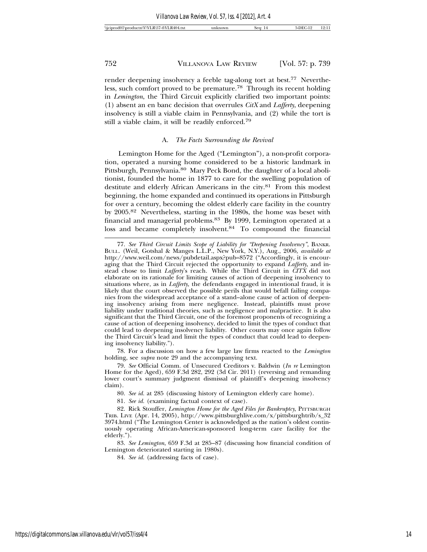render deepening insolvency a feeble tag-along tort at best.<sup>77</sup> Nevertheless, such comfort proved to be premature.78 Through its recent holding in *Lemington*, the Third Circuit explicitly clarified two important points: (1) absent an en banc decision that overrules *CitX* and *Lafferty*, deepening insolvency is still a viable claim in Pennsylvania, and (2) while the tort is still a viable claim, it will be readily enforced.79

### A. *The Facts Surrounding the Revival*

Lemington Home for the Aged ("Lemington"), a non-profit corporation, operated a nursing home considered to be a historic landmark in Pittsburgh, Pennsylvania.80 Mary Peck Bond, the daughter of a local abolitionist, founded the home in 1877 to care for the swelling population of destitute and elderly African Americans in the city.<sup>81</sup> From this modest beginning, the home expanded and continued its operations in Pittsburgh for over a century, becoming the oldest elderly care facility in the country by 2005.82 Nevertheless, starting in the 1980s, the home was beset with financial and managerial problems.83 By 1999, Lemington operated at a loss and became completely insolvent.<sup>84</sup> To compound the financial

78. For a discussion on how a few large law firms reacted to the *Lemington* holding, see *supra* note 29 and the accompanying text.

79. *See* Official Comm. of Unsecured Creditors v. Baldwin (*In re* Lemington Home for the Aged), 659 F.3d 282, 292 (3d Cir. 2011) (reversing and remanding lower court's summary judgment dismissal of plaintiff's deepening insolvency claim).

80. *See id.* at 285 (discussing history of Lemington elderly care home).

81. *See id.* (examining factual context of case).

82. Rick Stouffer, *Lemington Home for the Aged Files for Bankruptcy*, PITTSBURGH TRIB. LIVE (Apr. 14, 2005), http://www.pittsburghlive.com/x/pittsburghtrib/s\_32 3974.html ("The Lemington Center is acknowledged as the nation's oldest continuously operating African-American-sponsored long-term care facility for the elderly.").

83. *See Lemington*, 659 F.3d at 285–87 (discussing how financial condition of Lemington deteriorated starting in 1980s).

84. *See id.* (addressing facts of case).

<sup>77.</sup> *See Third Circuit Limits Scope of Liability for "Deepening Insolvency"*, BANKR. BULL. (Weil, Gotshal & Manges L.L.P., New York, N.Y.), Aug., 2006, *available at* http://www.weil.com/news/pubdetail.aspx?pub=8572 ("Accordingly, it is encouraging that the Third Circuit rejected the opportunity to expand *Lafferty*, and instead chose to limit *Lafferty's* reach. While the Third Circuit in  $\tilde{C}T\tilde{X}$  did not elaborate on its rationale for limiting causes of action of deepening insolvency to situations where, as in *Lafferty*, the defendants engaged in intentional fraud, it is likely that the court observed the possible perils that would befall failing companies from the widespread acceptance of a stand–alone cause of action of deepening insolvency arising from mere negligence. Instead, plaintiffs must prove liability under traditional theories, such as negligence and malpractice. It is also significant that the Third Circuit, one of the foremost proponents of recognizing a cause of action of deepening insolvency, decided to limit the types of conduct that could lead to deepening insolvency liability. Other courts may once again follow the Third Circuit's lead and limit the types of conduct that could lead to deepening insolvency liability.").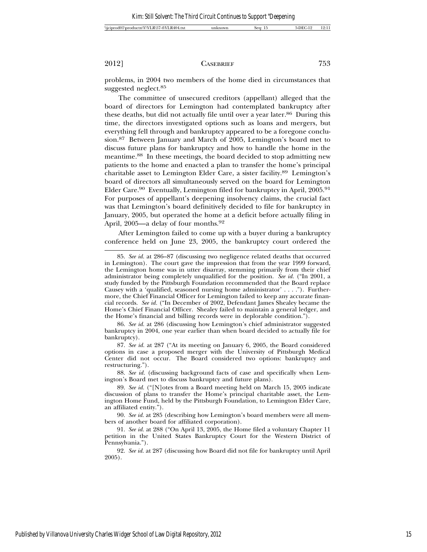| Ω.<br>R404<br>57-4\VI<br>aΩ<br>.R\51<br>∙tn\V\VI<br>י אר<br>$+ + +$<br>WCIDIC<br>seo:<br>nown.<br>oduc'<br>. .<br>m<br>±.LX |
|-----------------------------------------------------------------------------------------------------------------------------|
|-----------------------------------------------------------------------------------------------------------------------------|

problems, in 2004 two members of the home died in circumstances that suggested neglect.85

The committee of unsecured creditors (appellant) alleged that the board of directors for Lemington had contemplated bankruptcy after these deaths, but did not actually file until over a year later.<sup>86</sup> During this time, the directors investigated options such as loans and mergers, but everything fell through and bankruptcy appeared to be a foregone conclusion.87 Between January and March of 2005, Lemington's board met to discuss future plans for bankruptcy and how to handle the home in the meantime.88 In these meetings, the board decided to stop admitting new patients to the home and enacted a plan to transfer the home's principal charitable asset to Lemington Elder Care, a sister facility.89 Lemington's board of directors all simultaneously served on the board for Lemington Elder Care.<sup>90</sup> Eventually, Lemington filed for bankruptcy in April, 2005.<sup>91</sup> For purposes of appellant's deepening insolvency claims, the crucial fact was that Lemington's board definitively decided to file for bankruptcy in January, 2005, but operated the home at a deficit before actually filing in April, 2005—a delay of four months.<sup>92</sup>

After Lemington failed to come up with a buyer during a bankruptcy conference held on June 23, 2005, the bankruptcy court ordered the

86. *See id.* at 286 (discussing how Lemington's chief administrator suggested bankruptcy in 2004, one year earlier than when board decided to actually file for bankruptcy).

87. *See id.* at 287 ("At its meeting on January 6, 2005, the Board considered options in case a proposed merger with the University of Pittsburgh Medical Center did not occur. The Board considered two options: bankruptcy and restructuring.").

88. *See id.* (discussing background facts of case and specifically when Lemington's Board met to discuss bankruptcy and future plans).

90. *See id.* at 285 (describing how Lemington's board members were all members of another board for affiliated corporation).

92. *See id.* at 287 (discussing how Board did not file for bankruptcy until April 2005).

<sup>85.</sup> *See id.* at 286–87 (discussing two negligence related deaths that occurred in Lemington). The court gave the impression that from the year 1999 forward, the Lemington home was in utter disarray, stemming primarily from their chief administrator being completely unqualified for the position. *See id.* ("In 2001, a study funded by the Pittsburgh Foundation recommended that the Board replace Causey with a 'qualified, seasoned nursing home administrator' . . . ."). Furthermore, the Chief Financial Officer for Lemington failed to keep any accurate financial records. *See id.* ("In December of 2002, Defendant James Shealey became the Home's Chief Financial Officer. Shealey failed to maintain a general ledger, and the Home's financial and billing records were in deplorable condition.").

<sup>89.</sup> *See id.* ("[N]otes from a Board meeting held on March 15, 2005 indicate discussion of plans to transfer the Home's principal charitable asset, the Lemington Home Fund, held by the Pittsburgh Foundation, to Lemington Elder Care, an affiliated entity.").

<sup>91.</sup> *See id.* at 288 ("On April 13, 2005, the Home filed a voluntary Chapter 11 petition in the United States Bankruptcy Court for the Western District of Pennsylvania.").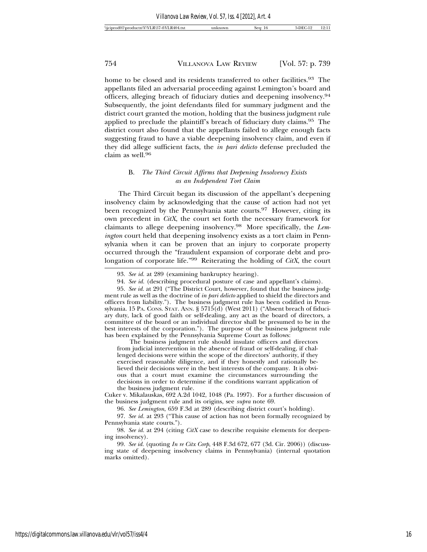home to be closed and its residents transferred to other facilities.<sup>93</sup> The appellants filed an adversarial proceeding against Lemington's board and officers, alleging breach of fiduciary duties and deepening insolvency.94 Subsequently, the joint defendants filed for summary judgment and the district court granted the motion, holding that the business judgment rule applied to preclude the plaintiff's breach of fiduciary duty claims.95 The district court also found that the appellants failed to allege enough facts suggesting fraud to have a viable deepening insolvency claim, and even if they did allege sufficient facts, the *in pari delicto* defense precluded the claim as well.96

# B. *The Third Circuit Affirms that Deepening Insolvency Exists as an Independent Tort Claim*

The Third Circuit began its discussion of the appellant's deepening insolvency claim by acknowledging that the cause of action had not yet been recognized by the Pennsylvania state courts.<sup>97</sup> However, citing its own precedent in *CitX*, the court set forth the necessary framework for claimants to allege deepening insolvency.98 More specifically, the *Lemington* court held that deepening insolvency exists as a tort claim in Pennsylvania when it can be proven that an injury to corporate property occurred through the "fraudulent expansion of corporate debt and prolongation of corporate life."99 Reiterating the holding of *CitX*, the court

The business judgment rule should insulate officers and directors from judicial intervention in the absence of fraud or self-dealing, if challenged decisions were within the scope of the directors' authority, if they exercised reasonable diligence, and if they honestly and rationally believed their decisions were in the best interests of the company. It is obvious that a court must examine the circumstances surrounding the decisions in order to determine if the conditions warrant application of the business judgment rule.

96. *See Lemington*, 659 F.3d at 289 (describing district court's holding).

97. *See id.* at 293 ("This cause of action has not been formally recognized by Pennsylvania state courts.").

98. *See id.* at 294 (citing *CitX* case to describe requisite elements for deepening insolvency).

<sup>93.</sup> *See id.* at 289 (examining bankruptcy hearing).

<sup>94.</sup> *See id.* (describing procedural posture of case and appellant's claims).

<sup>95.</sup> *See id.* at 291 ("The District Court, however, found that the business judgment rule as well as the doctrine of *in pari delicto* applied to shield the directors and officers from liability."). The business judgment rule has been codified in Pennsylvania. 15 PA. CONS. STAT. ANN. § 5715(d) (West 2011) ("Absent breach of fiduciary duty, lack of good faith or self-dealing, any act as the board of directors, a committee of the board or an individual director shall be presumed to be in the best interests of the corporation."). The purpose of the business judgment rule has been explained by the Pennsylvania Supreme Court as follows:

Cuker v. Mikalauskas, 692 A.2d 1042, 1048 (Pa. 1997). For a further discussion of the business judgment rule and its origins, see *supra* note 69.

<sup>99.</sup> *See id.* (quoting *In re Citx Corp*, 448 F.3d 672, 677 (3d. Cir. 2006)) (discussing state of deepening insolvency claims in Pennsylvania) (internal quotation marks omitted).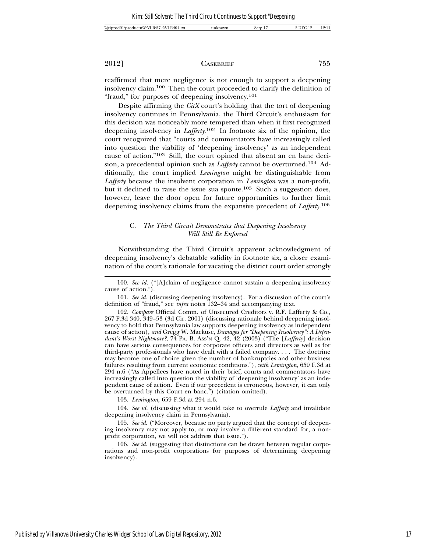reaffirmed that mere negligence is not enough to support a deepening insolvency claim.100 Then the court proceeded to clarify the definition of "fraud," for purposes of deepening insolvency.101

Despite affirming the *CitX* court's holding that the tort of deepening insolvency continues in Pennsylvania, the Third Circuit's enthusiasm for this decision was noticeably more tempered than when it first recognized deepening insolvency in *Lafferty*. 102 In footnote six of the opinion, the court recognized that "courts and commentators have increasingly called into question the viability of 'deepening insolvency' as an independent cause of action."103 Still, the court opined that absent an en banc decision, a precedential opinion such as *Lafferty* cannot be overturned.104 Additionally, the court implied *Lemington* might be distinguishable from *Lafferty* because the insolvent corporation in *Lemington* was a non-profit, but it declined to raise the issue sua sponte.<sup>105</sup> Such a suggestion does, however, leave the door open for future opportunities to further limit deepening insolvency claims from the expansive precedent of *Lafferty*. 106

# C. *The Third Circuit Demonstrates that Deepening Insolvency Will Still Be Enforced*

Notwithstanding the Third Circuit's apparent acknowledgment of deepening insolvency's debatable validity in footnote six, a closer examination of the court's rationale for vacating the district court order strongly

103. *Lemington*, 659 F.3d at 294 n.6.

104. *See id.* (discussing what it would take to overrule *Lafferty* and invalidate deepening insolvency claim in Pennsylvania).

105. *See id.* ("Moreover, because no party argued that the concept of deepening insolvency may not apply to, or may involve a different standard for, a nonprofit corporation, we will not address that issue.").

106. *See id.* (suggesting that distinctions can be drawn between regular corporations and non-profit corporations for purposes of determining deepening insolvency).

<sup>100.</sup> *See id.* ("[A]claim of negligence cannot sustain a deepening-insolvency cause of action.").

<sup>101.</sup> *See id.* (discussing deepening insolvency). For a discussion of the court's definition of "fraud," see *infra* notes 132–34 and accompanying text.

<sup>102.</sup> *Compare* Official Comm. of Unsecured Creditors v. R.F. Lafferty & Co., 267 F.3d 340, 349–53 (3d Cir. 2001) (discussing rationale behind deepening insolvency to hold that Pennsylvania law supports deepening insolvency as independent cause of action), *and* Gregg W. Mackuse, *Damages for "Deepening Insolvency": A Defendant's Worst Nightmare?*, 74 PA. B. ASS'N Q. 42, 42 (2003) ("The [*Lafferty*] decision can have serious consequences for corporate officers and directors as well as for third-party professionals who have dealt with a failed company. . . . The doctrine may become one of choice given the number of bankruptcies and other business failures resulting from current economic conditions."), *with Lemington*, 659 F.3d at 294 n.6 ("As Appellees have noted in their brief, courts and commentators have increasingly called into question the viability of 'deepening insolvency' as an independent cause of action. Even if our precedent is erroneous, however, it can only be overturned by this Court en banc.") (citation omitted).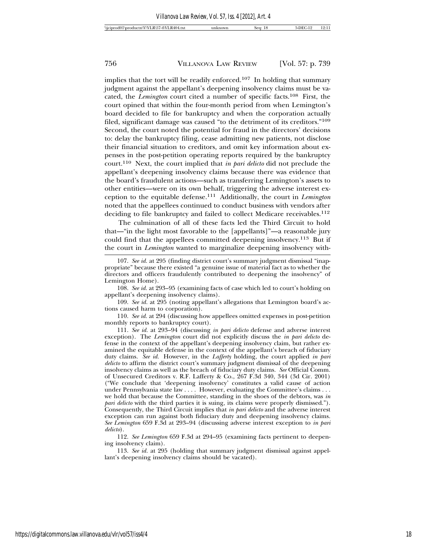implies that the tort will be readily enforced.107 In holding that summary judgment against the appellant's deepening insolvency claims must be vacated, the *Lemington* court cited a number of specific facts.108 First, the court opined that within the four-month period from when Lemington's board decided to file for bankruptcy and when the corporation actually filed, significant damage was caused "to the detriment of its creditors."109 Second, the court noted the potential for fraud in the directors' decisions to: delay the bankruptcy filing, cease admitting new patients, not disclose their financial situation to creditors, and omit key information about expenses in the post-petition operating reports required by the bankruptcy court.110 Next, the court implied that *in pari delicto* did not preclude the appellant's deepening insolvency claims because there was evidence that the board's fraudulent actions—such as transferring Lemington's assets to other entities—were on its own behalf, triggering the adverse interest exception to the equitable defense.111 Additionally, the court in *Lemington* noted that the appellees continued to conduct business with vendors after deciding to file bankruptcy and failed to collect Medicare receivables.<sup>112</sup>

The culmination of all of these facts led the Third Circuit to hold that—"in the light most favorable to the [appellants]"—a reasonable jury could find that the appellees committed deepening insolvency.113 But if the court in *Lemington* wanted to marginalize deepening insolvency with-

108. *See id.* at 293–95 (examining facts of case which led to court's holding on appellant's deepening insolvency claims).

109. *See id.* at 295 (noting appellant's allegations that Lemington board's actions caused harm to corporation).

110. *See id.* at 294 (discussing how appellees omitted expenses in post-petition monthly reports to bankruptcy court).

111. *See id.* at 293–94 (discussing *in pari delicto* defense and adverse interest exception). The *Lemington* court did not explicitly discuss the *in pari delicto* defense in the context of the appellant's deepening insolvency claim, but rather examined the equitable defense in the context of the appellant's breach of fiduciary duty claims. *See id.* However, in the *Lafferty* holding, the court applied *in pari delicto* to affirm the district court's summary judgment dismissal of the deepening insolvency claims as well as the breach of fiduciary duty claims. *See* Official Comm. of Unsecured Creditors v. R.F. Lafferty & Co., 267 F.3d 340, 344 (3d Cir. 2001) ("We conclude that 'deepening insolvency' constitutes a valid cause of action under Pennsylvania state law . . . . However, evaluating the Committee's claims . . . we hold that because the Committee, standing in the shoes of the debtors, was *in pari delicto* with the third parties it is suing, its claims were properly dismissed."). Consequently, the Third Circuit implies that *in pari delicto* and the adverse interest exception can run against both fiduciary duty and deepening insolvency claims. *See Lemington* 659 F.3d at 293–94 (discussing adverse interest exception to *in pari delicto*).

112. *See Lemington* 659 F.3d at 294–95 (examining facts pertinent to deepening insolvency claim).

113. *See id.* at 295 (holding that summary judgment dismissal against appellant's deepening insolvency claims should be vacated).

<sup>107.</sup> *See id.* at 295 (finding district court's summary judgment dismissal "inappropriate" because there existed "a genuine issue of material fact as to whether the directors and officers fraudulently contributed to deepening the insolvency" of Lemington Home).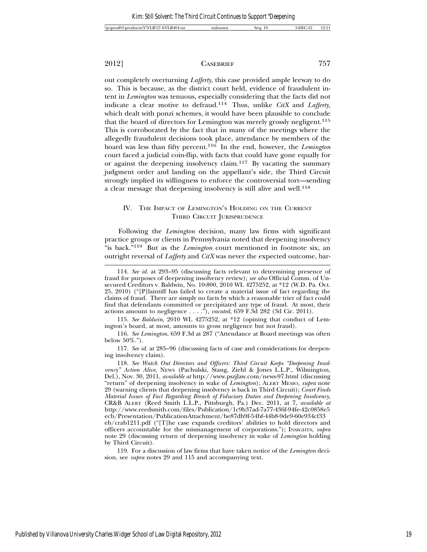out completely overturning *Lafferty*, this case provided ample leeway to do so. This is because, as the district court held, evidence of fraudulent intent in *Lemington* was tenuous, especially considering that the facts did not indicate a clear motive to defraud.114 Thus, unlike *CitX* and *Lafferty*, which dealt with ponzi schemes, it would have been plausible to conclude that the board of directors for Lemington was merely grossly negligent.<sup>115</sup> This is corroborated by the fact that in many of the meetings where the allegedly fraudulent decisions took place, attendance by members of the board was less than fifty percent.116 In the end, however, the *Lemington* court faced a judicial coin-flip, with facts that could have gone equally for or against the deepening insolvency claim.117 By vacating the summary judgment order and landing on the appellant's side, the Third Circuit strongly implied its willingness to enforce the controversial tort—sending a clear message that deepening insolvency is still alive and well.<sup>118</sup>

# IV. THE IMPACT OF LEMINGTON'S HOLDING ON THE CURRENT THIRD CIRCUIT JURISPRUDENCE

Following the *Lemington* decision, many law firms with significant practice groups or clients in Pennsylvania noted that deepening insolvency "is back."119 But as the *Lemington* court mentioned in footnote six, an outright reversal of *Lafferty* and *CitX* was never the expected outcome, bar-

115. *See Baldwin*, 2010 WL 4275252, at \*12 (opining that conduct of Lemington's board, at most, amounts to gross negligence but not fraud).

116. *See Lemington*, 659 F.3d at 287 ("Attendance at Board meetings was often below 50%.").

117. *See id.* at 285–96 (discussing facts of case and considerations for deepening insolvency claim).

118. *See Watch Out Directors and Officers: Third Circuit Keeps "Deepening Insolvency" Action Alive*, NEWS (Pachulski, Stang, Ziehl & Jones L.L.P., Wilmington, Del.), Nov. 30, 2011, *available at* http://www.pszjlaw.com/news-97.html (discussing "return" of deepening insolvency in wake of *Lemington*); ALERT MEMO, *supra* note 29 (warning clients that deepening insolvency is back in Third Circuit); *Court Finds Material Issues of Fact Regarding Breach of Fiduciary Duties and Deepening Insolvency*, CR&B ALERT (Reed Smith L.L.P., Pittsburgh, Pa.) Dec. 2011, at 7, *available at* http://www.reedsmith.com/files/Publication/1c9b37ad-7a77-436f-94fe-42c0858e5 ecb/Presentation/PublicationAttachment/be87db9f-54bf-44b8-9de9-60e934cf33 eb/crab1211.pdf ("[T]he case expands creditors' abilities to hold directors and officers accountable for the mismanagement of corporations."); INSIGHTS, *supra* note 29 (discussing return of deepening insolvency in wake of *Lemington* holding

by Third Circuit).

119. For a discussion of law firms that have taken notice of the *Lemington* decision, see *supra* notes 29 and 115 and accompanying text.

<sup>114.</sup> *See id.* at 293–95 (discussing facts relevant to determining presence of fraud for purposes of deepening insolvency review); *see also* Official Comm. of Unsecured Creditors v. Baldwin, No. 10-800, 2010 WL 4275252, at \*12 (W.D. Pa. Oct. 25, 2010) ("[P]laintiff has failed to create a material issue of fact regarding the claims of fraud. There are simply no facts by which a reasonable trier of fact could find that defendants committed or precipitated any type of fraud. At most, their actions amount to negligence . . . ."), *vacated*, 659 F.3d 282 (3d Cir. 2011).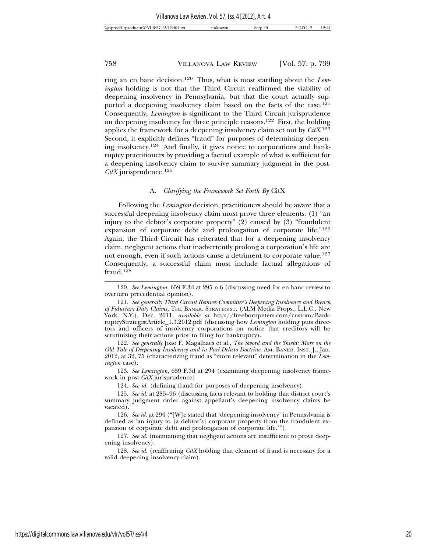ring an en banc decision.120 Thus, what is most startling about the *Lemington* holding is not that the Third Circuit reaffirmed the viability of deepening insolvency in Pennsylvania, but that the court actually supported a deepening insolvency claim based on the facts of the case.<sup>121</sup> Consequently, *Lemington* is significant to the Third Circuit jurisprudence on deepening insolvency for three principle reasons.122 First, the holding applies the framework for a deepening insolvency claim set out by *CitX*. 123 Second, it explicitly defines "fraud" for purposes of determining deepening insolvency.124 And finally, it gives notice to corporations and bankruptcy practitioners by providing a factual example of what is sufficient for a deepening insolvency claim to survive summary judgment in the post-*CitX* jurisprudence.125

### A. *Clarifying the Framework Set Forth By* CitX

Following the *Lemington* decision, practitioners should be aware that a successful deepening insolvency claim must prove three elements: (1) "an injury to the debtor's corporate property" (2) caused by (3) "fraudulent expansion of corporate debt and prolongation of corporate life."126 Again, the Third Circuit has reiterated that for a deepening insolvency claim, negligent actions that inadvertently prolong a corporation's life are not enough, even if such actions cause a detriment to corporate value.<sup>127</sup> Consequently, a successful claim must include factual allegations of fraud.<sup>128</sup>

122. *See generally* Joao F. Magalhaes et al., *The Sword and the Shield: More on the Old Tale of Deepening Insolvency and in Pari Delicto Doctrine*, AM. BANKR. INST. J., Jan. 2012, at 32, 75 (characterizing fraud as "more relevant" determination in the *Lemington* case).

123. *See Lemington*, 659 F.3d at 294 (examining deepening insolvency framework in post-*CitX* jurisprudence)

124. *See id.* (defining fraud for purposes of deepening insolvency).

127. *See id.* (maintaining that negligent actions are insufficient to prove deepening insolvency).

128. *See id.* (reaffirming *CitX* holding that element of fraud is necessary for a valid deepening insolvency claim).

<sup>120.</sup> *See Lemington*, 659 F.3d at 295 n.6 (discussing need for en banc review to overturn precedential opinion).

<sup>121.</sup> *See generally Third Circuit Revives Committee's Deepening Insolvency and Breach of Fiduciary Duty Claims*, THE BANKR. STRATEGIST, (ALM Media Props., L.L.C., New York, N.Y.), Dec. 2011, *available at* http://freebornpeters.com/custom/BankruptcyStrategistArticle\_1.3.2012.pdf (discussing how *Lemington* holding puts directors and officers of insolvency corporations on notice that creditors will be scrutinizing their actions prior to filing for bankruptcy).

<sup>125.</sup> *See id.* at 285–96 (discussing facts relevant to holding that district court's summary judgment order against appellant's deepening insolvency claims be vacated).

<sup>126.</sup> *See id.* at 294 ("[W]e stated that 'deepening insolvency' in Pennsylvania is defined as 'an injury to [a debtor's] corporate property from the fraudulent expansion of corporate debt and prolongation of corporate life.'").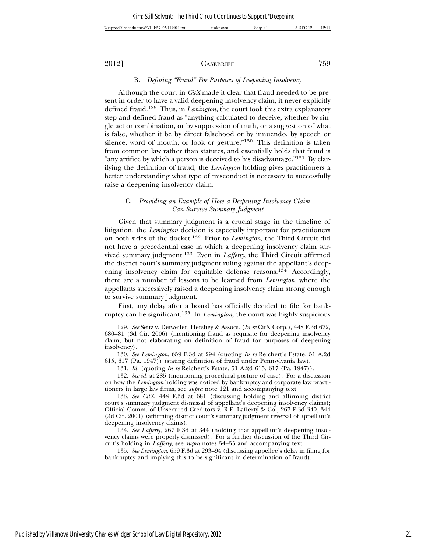# B. *Defining "Fraud" For Purposes of Deepening Insolvency*

Although the court in *CitX* made it clear that fraud needed to be present in order to have a valid deepening insolvency claim, it never explicitly defined fraud.129 Thus, in *Lemington*, the court took this extra explanatory step and defined fraud as "anything calculated to deceive, whether by single act or combination, or by suppression of truth, or a suggestion of what is false, whether it be by direct falsehood or by innuendo, by speech or silence, word of mouth, or look or gesture."130 This definition is taken from common law rather than statutes, and essentially holds that fraud is "any artifice by which a person is deceived to his disadvantage."<sup>131</sup> By clarifying the definition of fraud, the *Lemington* holding gives practitioners a better understanding what type of misconduct is necessary to successfully raise a deepening insolvency claim.

# C. *Providing an Example of How a Deepening Insolvency Claim Can Survive Summary Judgment*

Given that summary judgment is a crucial stage in the timeline of litigation, the *Lemington* decision is especially important for practitioners on both sides of the docket.132 Prior to *Lemington*, the Third Circuit did not have a precedential case in which a deepening insolvency claim survived summary judgment.133 Even in *Lafferty*, the Third Circuit affirmed the district court's summary judgment ruling against the appellant's deepening insolvency claim for equitable defense reasons.<sup>134</sup> Accordingly, there are a number of lessons to be learned from *Lemington*, where the appellants successively raised a deepening insolvency claim strong enough to survive summary judgment.

First, any delay after a board has officially decided to file for bankruptcy can be significant.135 In *Lemington*, the court was highly suspicious

130. *See Lemington*, 659 F.3d at 294 (quoting *In re* Reichert's Estate, 51 A.2d 615, 617 (Pa. 1947)) (stating definition of fraud under Pennsylvania law).

131. *Id.* (quoting *In re* Reichert's Estate, 51 A.2d 615, 617 (Pa. 1947)).

132. *See id.* at 285 (mentioning procedural posture of case). For a discussion on how the *Lemington* holding was noticed by bankruptcy and corporate law practitioners in large law firms, see *supra* note 121 and accompanying text.

133. *See CitX*, 448 F.3d at 681 (discussing holding and affirming district court's summary judgment dismissal of appellant's deepening insolvency claims); Official Comm. of Unsecured Creditors v. R.F. Lafferty & Co., 267 F.3d 340, 344 (3d Cir. 2001) (affirming district court's summary judgment reversal of appellant's deepening insolvency claims).

134. *See Lafferty*, 267 F.3d at 344 (holding that appellant's deepening insolvency claims were properly dismissed). For a further discussion of the Third Circuit's holding in *Lafferty*, see *supra* notes 54–55 and accompanying text.

135. *See Lemington*, 659 F.3d at 293–94 (discussing appellee's delay in filing for bankruptcy and implying this to be significant in determination of fraud).

<sup>129.</sup> *See* Seitz v. Detweiler, Hershey & Assocs. (*In re* CitX Corp.), 448 F.3d 672, 680–81 (3d Cir. 2006) (mentioning fraud as requisite for deepening insolvency claim, but not elaborating on definition of fraud for purposes of deepening insolvency).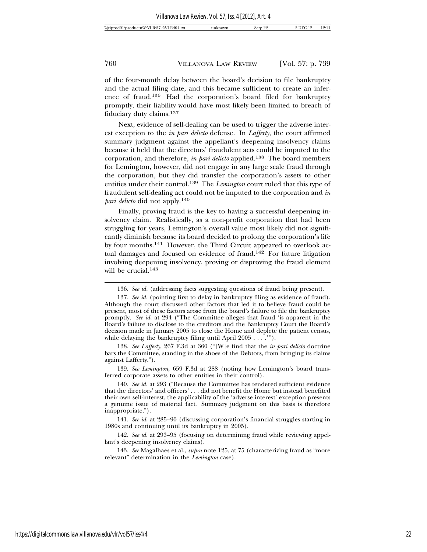of the four-month delay between the board's decision to file bankruptcy and the actual filing date, and this became sufficient to create an inference of fraud.136 Had the corporation's board filed for bankruptcy promptly, their liability would have most likely been limited to breach of fiduciary duty claims.137

Next, evidence of self-dealing can be used to trigger the adverse interest exception to the *in pari delicto* defense. In *Lafferty*, the court affirmed summary judgment against the appellant's deepening insolvency claims because it held that the directors' fraudulent acts could be imputed to the corporation, and therefore, *in pari delicto* applied.138 The board members for Lemington, however, did not engage in any large scale fraud through the corporation, but they did transfer the corporation's assets to other entities under their control.139 The *Lemington* court ruled that this type of fraudulent self-dealing act could not be imputed to the corporation and *in pari delicto* did not apply.140

Finally, proving fraud is the key to having a successful deepening insolvency claim. Realistically, as a non-profit corporation that had been struggling for years, Lemington's overall value most likely did not significantly diminish because its board decided to prolong the corporation's life by four months.141 However, the Third Circuit appeared to overlook actual damages and focused on evidence of fraud.142 For future litigation involving deepening insolvency, proving or disproving the fraud element will be crucial.<sup>143</sup>

138. *See Lafferty*, 267 F.3d at 360 ("[W]e find that the *in pari delicto* doctrine bars the Committee, standing in the shoes of the Debtors, from bringing its claims against Lafferty.").

139. *See Lemington*, 659 F.3d at 288 (noting how Lemington's board transferred corporate assets to other entities in their control).

140. *See id.* at 293 ("Because the Committee has tendered sufficient evidence that the directors' and officers' . . . did not benefit the Home but instead benefited their own self-interest, the applicability of the 'adverse interest' exception presents a genuine issue of material fact. Summary judgment on this basis is therefore inappropriate.").

141. *See id.* at 285–90 (discussing corporation's financial struggles starting in 1980s and continuing until its bankruptcy in 2005).

142. *See id.* at 293–95 (focusing on determining fraud while reviewing appellant's deepening insolvency claims).

143. *See* Magalhaes et al., *supra* note 125, at 75 (characterizing fraud as "more relevant" determination in the *Lemington* case).

<sup>136.</sup> *See id.* (addressing facts suggesting questions of fraud being present).

<sup>137.</sup> *See id.* (pointing first to delay in bankruptcy filing as evidence of fraud). Although the court discussed other factors that led it to believe fraud could be present, most of these factors arose from the board's failure to file the bankruptcy promptly. *See id.* at 294 ("The Committee alleges that fraud 'is apparent in the Board's failure to disclose to the creditors and the Bankruptcy Court the Board's decision made in January 2005 to close the Home and deplete the patient census, while delaying the bankruptcy filing until April 2005 . . . .'").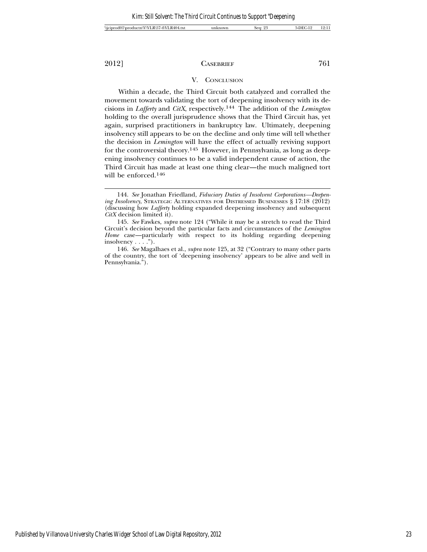# V. CONCLUSION

Within a decade, the Third Circuit both catalyzed and corralled the movement towards validating the tort of deepening insolvency with its decisions in *Lafferty* and *CitX*, respectively.144 The addition of the *Lemington* holding to the overall jurisprudence shows that the Third Circuit has, yet again, surprised practitioners in bankruptcy law. Ultimately, deepening insolvency still appears to be on the decline and only time will tell whether the decision in *Lemington* will have the effect of actually reviving support for the controversial theory.145 However, in Pennsylvania, as long as deepening insolvency continues to be a valid independent cause of action, the Third Circuit has made at least one thing clear—the much maligned tort will be enforced.146

<sup>144.</sup> *See* Jonathan Friedland, *Fiduciary Duties of Insolvent Corporations—Deepening Insolvency*, STRATEGIC ALTERNATIVES FOR DISTRESSED BUSINESSES § 17:18 (2012) (discussing how *Lafferty* holding expanded deepening insolvency and subsequent *CitX* decision limited it).

<sup>145.</sup> *See* Fawkes, *supra* note 124 ("While it may be a stretch to read the Third Circuit's decision beyond the particular facts and circumstances of the *Lemington Home* case—particularly with respect to its holding regarding deepening insolvency . . . .").

<sup>146.</sup> *See* Magalhaes et al., *supra* note 125, at 32 ("Contrary to many other parts of the country, the tort of 'deepening insolvency' appears to be alive and well in Pennsylvania.").